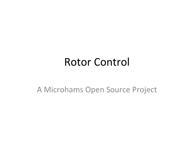### **Rotor Control**

A Microhams Open Source Project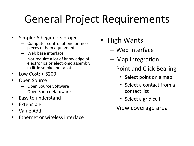# General Project Requirements

- Simple: A beginners project
	- Computer control of one or more pieces of ham equipment
	- Web base interface
	- Not require a lot of knowledge of electronics or electronic assembly (a little smoke, not a lot)
- Low Cost:  $<$  \$200
- Open Source
	- Open Source Software
	- Open Source Hardware
- Easy to understand
- Extensible
- Value Add
- Fthernet or wireless interface
- High Wants
	- Web Interface
	- $-$  Map Integration
	- $-$  Point and Click Bearing
		- Select point on a map
		- Select a contact from a contact list
		- Select a grid cell
	- View coverage area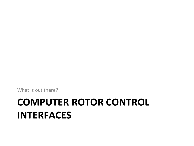# **COMPUTER ROTOR CONTROL INTERFACES**

What is out there?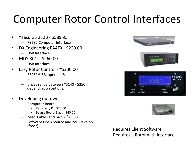### Computer Rotor Control Interfaces

- Yaesu GS 232B \$589.95
	- RS232 Computer Interface
- DX Engineering EA4TX \$229.00
	- USB Interface
- MDS RC1 \$260.00
	- USB Interface
- Easy Rotor Control  $\sim$ \$230.00
	- RS232/USB, optional Enet
	- Kit
	- prices range between  $\sim$ \$140 \$350 depending on options.
- Developing our own
	- Computer Board
		- Raspberry Pi ~\$25.00
		- Beagle Board Black ~\$40.00
	- $-$  Misc. Cables and part  $<$  \$40.00
	- Software Open Source and You Develop<br>(free?)







Requires Client Software Requires a Rotor with interface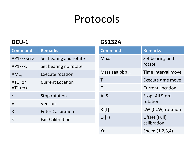### Protocols

#### **DCU-1**

#### **GS232A**

| <b>Command</b>      | <b>Remarks</b>           | <b>Command</b> | <b>Remarks</b>               |
|---------------------|--------------------------|----------------|------------------------------|
| AP1xxx <cr></cr>    | Set bearing and rotate   | <b>Maaa</b>    | Set bearing and<br>rotate    |
| AP1xxx;             | Set bearing no rotate    |                |                              |
| AM1;                | <b>Execute rotation</b>  | Msss aaa bbb   | Time Interval move           |
| AT1; or<br>AT1 < cr | <b>Current Location</b>  | Τ              | Execute time move            |
|                     |                          | $\mathsf C$    | <b>Current Location</b>      |
| $\cdot$             | Stop rotation            | A[S]           | Stop [All Stop]              |
| $\vee$              | Version                  |                | rotation                     |
| K                   | <b>Enter Calibration</b> | R[L]           | <b>CW</b> [CCW] rotation     |
| $\mathsf k$         | <b>Exit Calibration</b>  | O [F]          | Offset [Full]<br>calibration |
|                     |                          | Xn             | Speed (1,2,3,4)              |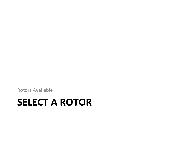Rotors Available

### **SELECT A ROTOR**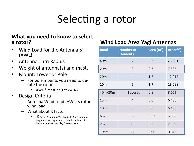# Selecting a rotor

#### **What you need to know to select a rotor? and South Communist Communist Communist Communist Communist Communist Communist Communist Communist Communist Communist Communist Communist Communist Communist Communist Communist Communist Communist Communist**

- Wind Load for the Antenna(s) (AWL).
- Antenna Turn Radius
- Weight of antenna(s) and mast.
- Mount: Tower or Pole
	- $-$  For pole mounts you need to derate the rotor
		- AWL  $*$  mast height  $\leq$  45
- Design Criteria
	- $-$  Antenna Wind Load (AWL) < rotor wind load
	- $-$  What about K factor?
		- $\mathsf{K}\;$  factor  $\mathsf{K}\;$  Antenna Turning Radius(m)  $^*$  [Antenna weight + Mast Weight]  $\leq$  Rotor K factor. K Factor is specified by Yaesu only

| <b>Band</b>     | <b>Number of</b><br><b>Elements</b> | Area $(m2)$ | Area $({\bf t}^2)$ |
|-----------------|-------------------------------------|-------------|--------------------|
| 40 <sub>m</sub> | $\overline{2}$                      | 2.2         | 23.681             |
| 20m             | 3                                   | 0.7         | 7.535              |
| 20m             | $\overline{4}$                      | 1.2         | 12.917             |
| 20m             | 5                                   | 1.7         | 18.298             |
| 40m/20m         | 4 Tapered                           | 0.8         | 8.611              |
| 15m             | $\overline{4}$                      | 0.6         | 6.458              |
| 10 <sub>m</sub> | 5                                   | 0.6         | 6.458              |
| 6 <sub>m</sub>  | 6                                   | 0.37        | 3.983              |
| 2m              | 10                                  | 0.2         | 2.153              |
| 70cm            | 12                                  | 0.06        | 0.646              |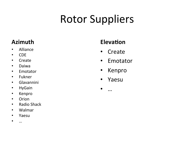# **Rotor Suppliers**

#### **Azimuth**

- Alliance
- CDE
- Create
- Daiwa
- Emotator
- Fukner
- Glavannini
- HyGain
- Kenpro
- Orion
- Radio Shack
- Walmar
- Yaesu
- …

#### **Elevation**

- Create
- Emotator
- Kenpro
- Yaesu
- …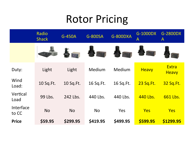### Rotor Pricing

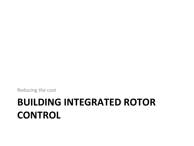Reducing the cost

### **BUILDING INTEGRATED ROTOR CONTROL**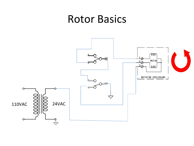### **Rotor Basics**

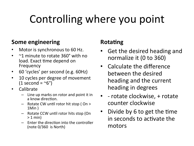# Controlling where you point

#### **Some engineering**

- Motor is synchronous to 60 Hz.
- $\sim$  1 minute to rotate 360° with no load. Exact time depend on Frequency
- 60 'cycles' per second (e.g. 60Hz)
- 10 cycles per degree of movement  $(1$  second =  $\sim$ 6°)
- Calibrate
	- $-$  Line up marks on rotor and point it in a know direction.
	- Rotate CW until rotor hit stop ( $On >$ 1Min )
	- $-$  Rotate CCW until rotor hits stop (On  $> 1$  min)
	- **Enter the direction into the controller** (note  $0/360$  is North)

#### **Rotating**

- Get the desired heading and normalize it (0 to 360)
- Calculate the difference between the desired heading and the current heading in degrees
- rotate clockwise, + rotate counter clockwise
- Divide by 6 to get the time in seconds to activate the motors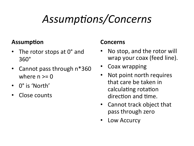# Assumptions/Concerns

#### **Assumption**

- The rotor stops at 0° and 360°
- Cannot pass through n\*360 where  $n \geq 0$
- 0° is 'North'
- Close counts

#### **Concerns**

- No stop, and the rotor will wrap your coax (feed line).
- Coax wrapping
- Not point north requires that care be taken in calculating rotation direction and time.
- Cannot track object that pass through zero
- Low Accurcy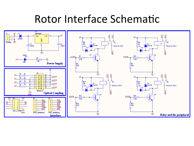### Rotor Interface Schematic

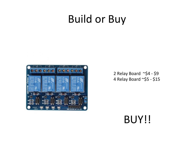### **Build or Buy**



2 Relay Board  $\sim$ \$4 - \$9 4 Relay Board ~\$5 - \$15

#### BUY!!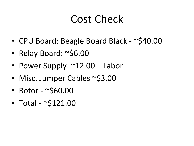### Cost Check

- CPU Board: Beagle Board Black ~\$40.00
- Relay Board: ~\$6.00
- Power Supply: ~12.00 + Labor
- Misc. Jumper Cables ~\$3.00
- Rotor  $-\infty$ \$60.00
- Total  $\sim$ \$121.00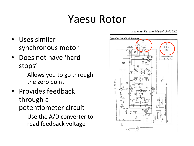### Yaesu Rotor

- Uses similar synchronous motor
- Does not have 'hard stops'
	- $-$  Allows you to go through the zero point
- Provides feedback through a potentiometer circuit
	- $-$  Use the A/D converter to read feedback voltage

#### **Antenna Rotator Model G-450XL**

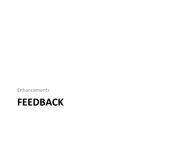Enhancements 

#### **FEEDBACK**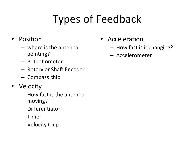# Types of Feedback

- Position
	- $-$  where is the antenna pointing?
	- Potentiometer
	- $-$  Rotary or Shaft Encoder
	- $-$  Compass chip
- Velocity
	- $-$  How fast is the antenna moving?
	- $-$  Differentiator
	- Timer
	- Velocity Chip
- Acceleration
	- $-$  How fast is it changing?
	- Accelerometer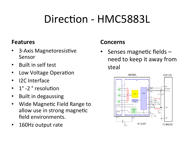# Direction - HMC5883L

#### **Features**

- 3-Axis Magnetoresistive Sensor
- Built in self test
- Low Voltage Operation
- I2C Interface
- 1° -2<sup>°</sup> resolution
- **Built in degaussing**
- Wide Magnetic Field Range to allow use in strong magnetic field environments.
- 160Hz output rate

#### **Concerns**

Senses magnetic fields  $$ need to keep it away from steal 

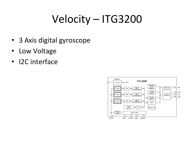# Velocity - ITG3200

- 3 Axis digital gyroscope
- Low Voltage
- I2C interface

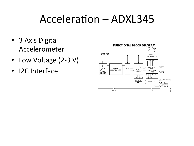### $Acceleration - ADXL345$

- 3 Axis Digital Accelerometer
- Low Voltage (2-3 V)
- I2C Interface

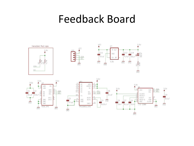### Feedback Board

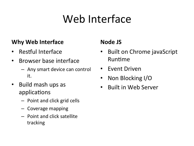# Web Interface

#### **Why Web Interface**

- Restful Interface
- Browser base interface
	- $-$  Any smart device can control it.
- Build mash ups as applications
	- $-$  Point and click grid cells
	- $-$  Coverage mapping
	- $-$  Point and click satellite tracking

#### **Node JS**

- **Built on Chrome javaScript** Runtime
- Event Driven
- Non Blocking I/O
- **Built in Web Server**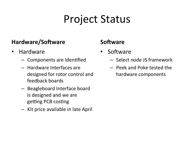### Project Status

#### **Hardware/Software**

- Hardware
	- $-$  Components are Identified
	- $-$  Hardware Interfaces are designed for rotor control and feedback boards
	- Beagleboard Interface board is designed and we are getting PCB costing
	- $-$  Kit price available in late April

#### **Software**

- Software
	- $-$  Select node JS framework
	- Peek and Poke tested the hardware components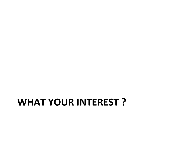### **WHAT YOUR INTEREST?**